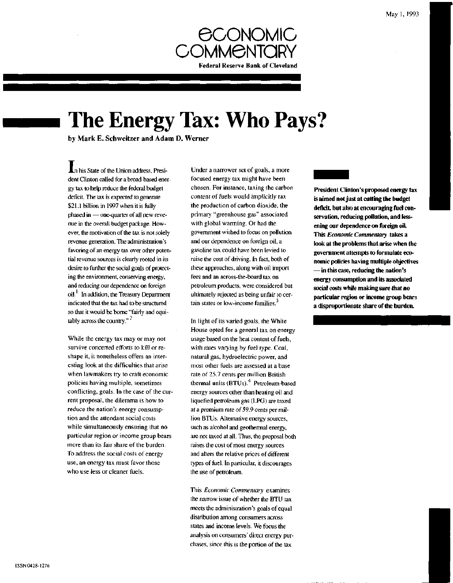

# **The Energy Tax: Who Pays?**

by Mark E. Schweitzer and Adam D. Werner

**An** his State of the Union address, President Clinton called for a broad-based energy tax to help reduce the federal budget deficit. The tax is expected to generate \$21.1 billion in 1997 when it is fully phased in — one-quarter of all new revenue in the overall budget package. However, the motivation of the tax is not solely revenue generation. The administration's favoring of an energy tax over other potential revenue sources is clearly rooted in its desire to further the social goals of protecting the environment, conserving energy, and reducing our dependence on foreign oil.<sup>1</sup> In addition, the Treasury Department indicated that the tax had to be structured so that it would be borne "fairly and equitably across the country."<sup>2</sup>

While the energy tax may or may not survive concerted efforts to kill or reshape it, it nonetheless offers an interesting look at the difficulties that arise when lawmakers try to craft economic policies having multiple, sometimes conflicting, goals. In the case of the current proposal, the dilemma is how to reduce the nation's energy consumption and the attendant social costs while simultaneously ensuring that no particular region or income group bears more than its fair share of the burden. To address the social costs of energy use, an energy tax must favor those who use less or cleaner fuels.

Under a narrower set of goals, a more focused energy tax might have been chosen. For instance, taxing the carbon content of fuels would implicitly tax the production of carbon dioxide, the primary "greenhouse gas" associated with global warming. Or had the government wished to focus on pollution and our dependence on foreign oil, a gasoline tax could have been levied to raise the cost of driving. In fact, both of these approaches, along with oil import fees and an across-the-board tax on petroleum products, were considered but ultimately rejected as being unfair to certain states or low-income families. **3**

In light of its varied goals, the White House opted for a general tax on energy usage based on the heat content of fuels, with rates varying by fuel type. Coal, natural gas, hydroelectric power, and most other fuels are assessed at a base rate of 25.7 cents per million British thermal units (BTUs).<sup>4</sup> Petroleum-based energy sources other than heating oil and liquefied petroleum gas (LPG) are taxed at a premium rate of 59.9 cents per million BTUs. Alternative energy sources, such as alcohol and geothermal energy, are not taxed at all. Thus, the proposal both raises the cost of most energy sources and alters the relative prices of different types of fuel. In particular, it discourages the use of petroleum.

This *Economic Commentary* examines the narrow issue of whether the BTU tax meets the administration's goals of equal distribution among consumers across states and income levels. We focus the analysis on consumers' direct energy purchases, since this is the portion of the tax

**President Clinton's proposed energy tax is aimed not just at cutting the budget deficit, but also at encouraging fuel conservation, reducing pollution, and lessening our dependence on foreign oil. This** *Economic Commentary* **takes a look at the problems that arise when the government attempts to formulate economic policies having multiple objectives —in this case, reducing the nation's energy consumption and its associated social costs while making sure that no particular region or income group bears a disproportionate share of the burden.**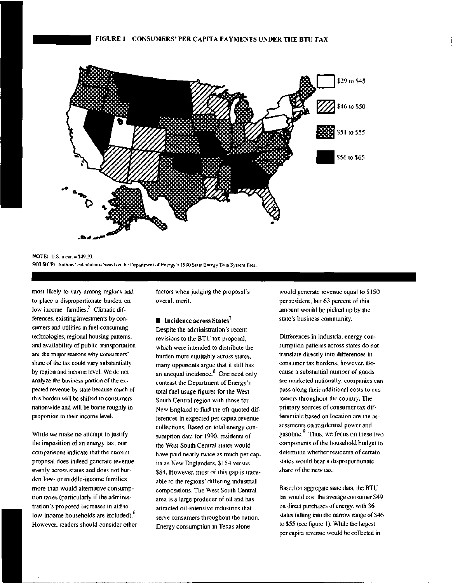

NOTE: U.S. mean = \$49.20. SOURCE: Authors' calculations based on the Department of Energy's 1990 State Energy Data System files.

most likely to vary among regions and to place a disproportionate burden on low-income families.<sup>5</sup> Climatic differences, existing investments by consumers and utilities in fuel-consuming technologies, regional housing patterns, and availability of public transportation are the major reasons why consumers' share of the tax could vary substantially by region and income level. We do not analyze the business portion of the expected revenue by state because much of this burden will be shifted to consumers nationwide and will be borne roughly in proportion to their income level.

While we make no attempt to justify the imposition of an energy tax, our comparisons indicate that the current proposal does indeed generate revenue evenly across states and does not burden low- or middle-income families more than would alternative consumption taxes (particularly if the administration's proposed increases in aid to low-income households are included). However, readers should consider other factors when judging the proposal's overall merit.

#### $\blacksquare$  Incidence across States<sup>7</sup>

Despite the administration's recent revisions to the BTU tax proposal, which were intended to distribute the burden more equitably across states, many opponents argue that it still has an unequal incidence. $8$  One need only contrast the Department of Energy's total fuel usage figures for the West South Central region with those for New England to find the oft-quoted differences in expected per capita revenue collections. Based on total energy consumption data for 1990, residents of the West South Central states would have paid nearly twice as much per capita as New Englanders, \$154 versus \$84. However, most of this gap is traceable to the regions' differing industrial compositions. The West South Central area is a large producer of oil and has attracted oil-intensive industries that serve consumers throughout the nation. Energy consumption in Texas alone

would generate revenue equal to \$150 per resident, but 63 percent of this amount would be picked up by the state's business community.

Differences in industrial energy consumption patterns across states do not translate directly into differences in consumer tax burdens, however. Because a substantial number of goods are marketed nationally, companies can pass along their additional costs to customers throughout the country. The primary sources of consumer tax differentials based on location are the assessments on residential power and gasoline.<sup>9</sup> Thus, we focus on these two components of the household budget to determine whether residents of certain states would bear a disproportionate share of the new tax.

Based on aggregate state data, the BTU tax would cost the average consumer \$49 on direct purchases of energy, with 36 states falling into the narrow range of \$46 to \$55 (see figure 1). While the largest per capita revenue would be collected in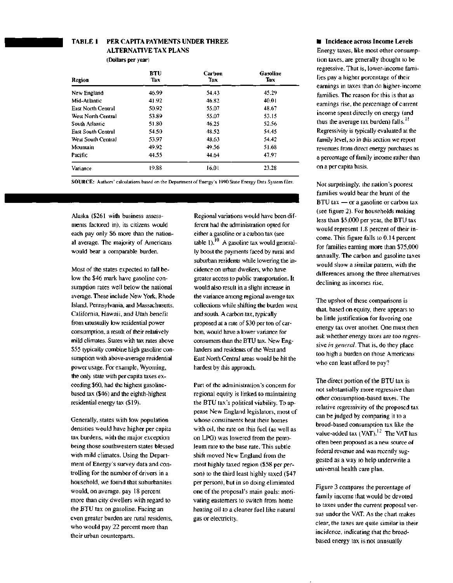#### **TABLE 1 PER CAPITA PAYMENTS UNDER THREE ALTERNATIVE TAX PLANS (Dollars per year)**

| Region                    | <b>RTU</b><br>Tax | Carbon<br>Tax | Gasoline<br>Tax |
|---------------------------|-------------------|---------------|-----------------|
| New England               | 46.99             | 54.43         | 45.29           |
| Mid-Atlantic              | 41.92             | 46.82         | 40.01           |
| <b>East North Central</b> | 50.92             | 55.07         | 48.67           |
| West North Central        | 53.89             | 55.07         | 53.15           |
| South Atlantic            | 51.80             | 46.25         | 52.56           |
| <b>East South Central</b> | 54.50             | 48.52         | 54.45           |
| West South Central        | 53.97             | 48.63         | 54.42           |
| Mountain                  | 49.92             | 49.56         | 51.68           |
| Pacific                   | 44.55             | 44.64         | 47.97           |
| Variance                  | 19.88             | 16.01         | 23.28           |

SOURCE: Authors' calculations based on the Department of Energy's 1990 State Energy Data System files.

Alaska (\$261 with business assessments factored in), its citizens would each pay only \$6 more than the national average. The majority of Americans would bear a comparable burden.

Most of the states expected to fall below the \$46 mark have gasoline consumption rates well below the national average. These include New York, Rhode Island, Pennsylvania, and Massachusetts. California, Hawaii, and Utah benefit from unusually low residential power consumption, a result of their relatively mild climates. States with tax rates above \$55 typically combine high gasoline consumption with above-average residential power usage. For example, Wyoming, the only state with per capita taxes exceeding \$60, had the highest gasolinebased tax (\$46) and the eighth-highest residential energy tax (\$19).

Generally, states with low population densities would have higher per capita tax burdens, with the major exception being those southwestern states blessed with mild climates. Using the Department of Energy's survey data and controlling for the number of drivers in a household, we found that suburbanites would, on average, pay 18 percent more than city dwellers with regard to the BTU tax on gasoline. Facing an even greater burden are rural residents, who would pay 22 percent more than their urban counterparts.

Regional variations would have been different had the administration opted for either a gasoline or a carbon tax (see table 1).<sup>10</sup> A gasoline tax would generally boost the payments faced by rural and suburban residents while lowering the incidence on urban dwellers, who have greater access to public transportation. It would also result in a slight increase in the variance among regional average tax collections while shifting the burden west and south. A carbon tax, typically proposed at a rate of \$30 per ton of carbon, would have a lower variance for consumers than the BTU tax. New Englanders and residents of the West and East North Central areas would be hit the hardest by this approach.

Part of the administration's concern for regional equity is linked to maintaining the BTU tax's political viability. To appease New England legislators, most of whose constituents heat their homes with oil, the rate on this fuel (as well as on LPG) was lowered from the petroleum rate to the base rate. This subtle shift moved New England from the most highly taxed region (\$58 per person) to the third least highly taxed (\$47 per person), but in so doing eliminated one of the proposal's main goals: motivating easterners to switch from home heating oil to a cleaner fuel like natural gas or electricity.

**• Incidence across Income Levels** Energy taxes, like most other consumption taxes, are generally thought to be regressive. That is, lower-income families pay a higher percentage of their earnings in taxes than do higher-income families. The reason for this is that as earnings rise, the percentage of current income spent directly on energy (and thus the average tax burden) falls. $^{11}$ Regressivity is typically evaluated at the family level, so in this section we report revenues from direct energy purchases as a percentage of family income rather than on a per capita basis.

Not surprisingly, the nation's poorest families would bear the brunt of the BTU tax — or a gasoline or carbon tax (see figure 2). For households making less than \$5,000 per year, the BTU tax would represent 1.8 percent of their income. This figure falls to 0.14 percent for families earning more than \$75,000 annually. The carbon and gasoline taxes would show a similar pattern, with the differences among the three alternatives declining as incomes rise.

The upshot of these comparisons is that, based on equity, there appears to be little justification for favoring one energy tax over another. One must then ask whether energy taxes are too regressive *in general.* That is, do they place too high a burden on those Americans who can least afford to pay?

The direct portion of the BTU tax is not substantially more regressive than other consumption-based taxes. The relative regressivity of the proposed tax can be judged by comparing it to a broad-based consumption tax like the value-added tax (VAT).<sup>12</sup> The VAT has often been proposed as a new source of federal revenue and was recently suggested as a way to help underwrite a universal health care plan.

Figure 3 compares the percentage of family income that would be devoted to taxes under the current proposal versus under the VAT. As the chart makes clear, the taxes are quite similar in their incidence, indicating that the broadbased energy tax is not unusually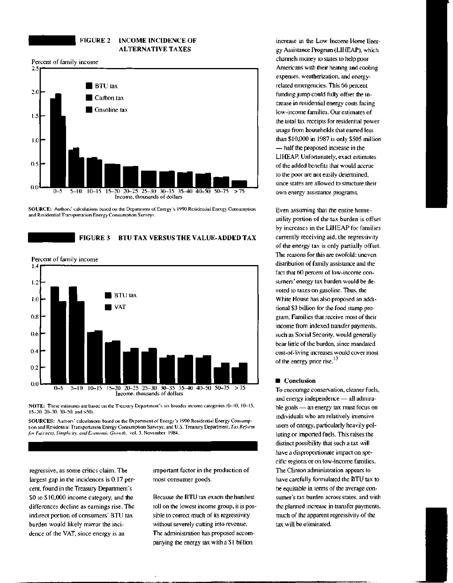#### **FIGURE 2 INCOME INCIDENCE OF ALTERNATIVE TAXES**

Percent of family income



**SOURCE:** Authors' calculations based on the Department of Energy's 1990 Residential Energy Consumption and Residential Transportation Energy Consumption Surveys.

### FIGURE 3 BTU TAX VERSUS THE VALUE-ADDED TAX

Percent of family income



**NOTE:** These estimates are based on the Treasury Department's six broader income categories (0-10, 10-15, 15-20, 20-30, 30-50, and >50).

SOURCES: Authors' calculations based on the Department of Energy's 1990 Residential Energy Consumption and Residential Transportation Energy Consumption Surveys; and U.S. Treasury Department, *Tax Reform for Fairness. Simplicity, and Economic Growth,* vol. 3, November 1984.

regressive, as some critics claim. The largest gap in the incidences is 0.17 percent, found in the Treasury Department's \$0 to \$10,000 income category, and the differences decline as earnings rise. The indirect portion of consumers' BTU tax burden would likely mirror the incidence of the VAT, since energy is an

important factor in the production of most consumer goods.

Because the BTU tax exacts the harshest toll on the lowest income group, it is possible to correct much of its regressivity without severely cutting into revenue. The administration has proposed accompanying the energy tax with a \$1 billion

increase in the Low Income Home Energy Assistance Program (LIHEAP), which channels money to states to help poor Americans with their heating and cooling expenses, weatherization, and energyrelated emergencies. This 66 percent funding jump could fully offset the increase in residential energy costs facing low-income families. Our estimates of the total tax receipts for residential power usage from households that earned less than \$10,000 in 1987 is only \$505 million — half the proposed increase in the LIHEAP. Unfortunately, exact estimates of the added benefits that would accrue to the poor are not easily determined, since states are allowed to structure their own energy assistance programs.

Even assuming that the entire homeutility portion of the tax burden is offset by increases in the LIHEAP for families currently receiving aid, the regressivity of the energy tax is only partially offset. The reasons for this are twofold: uneven distribution of family assistance and the fact that 60 percent of low-income consumers' energy tax burden would be devoted to taxes on gasoline. Thus, the White House has also proposed an additional \$3 billion for the food stamp program. Families that receive most of their income from indexed transfer payments, such as Social Security, would generally bear little of the burden, since mandated cost-of-living increases would cover most of the energy price rise.<sup>13</sup>

#### **• Conclusion**

To encourage conservation, cleaner fuels, and energy independence — all admirable goals — an energy tax must focus on individuals who are relatively intensive users of energy, particularly heavily polluting or imported fuels. This raises the distinct possibility that such a tax will have a disproportionate impact on specific regions or on low-income families. The Clinton administration appears to have carefully formulated the BTU tax to be equitable in terms of the average consumer's tax burden across states, and with the planned increase in transfer payments, much of the apparent regressivity of the tax will be eliminated.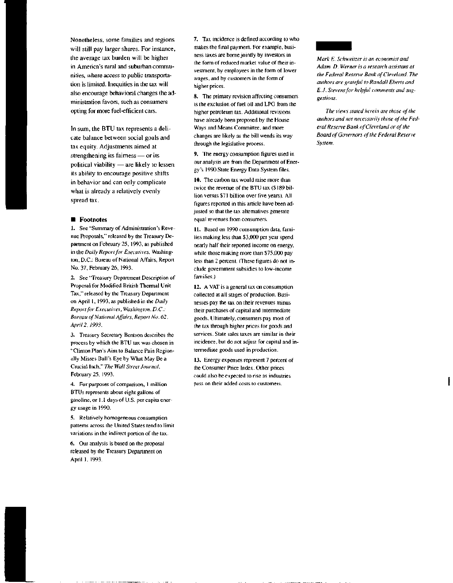Nonetheless, some families and regions will still pay larger shares. For instance, the average tax burden will be higher in America's rural and suburban communities, where access to public transportation is limited. Inequities in the tax will also encourage behavioral changes the administration favors, such as consumers opting for more fuel-efficient cars.

In sum, the BTU tax represents a delicate balance between social goals and tax equity. Adjustments aimed at strengthening its fairness — or its political viability — are likely to lessen its ability to encourage positive shifts in behavior and can only complicate what is already a relatively evenly spread tax.

#### **• Footnotes**

1. See "Summary of Administration's Revenue Proposals," released by the Treasury Department on February 25, 1993, as published in the *Daily Report for Executives,* Washington, D.C.: Bureau of National Affairs, Report No. 37, February 26, 1993.

2. See "Treasury Department Description of Proposal for Modified British Thermal Unit Tax," released by the Treasury Department on April 1, 1993, as published in the *Daily Report for Executives, Washington, D.C.: Bureau of National Affairs, Report No. 62, April 2,1993.*

3. Treasury Secretary Bentson describes the process by which the BTU tax was chosen in "Clinton Plan's Aim to Balance Pain Regionally Misses Bull's Eye by What May Be a Crucial Inch," *The Wall Street Journal,* February 25, 1993.

4. For purposes of comparison, 1 million BTUs represents about eight gallons of gasoline, or 1.1 days of U.S. per capita energy usage in 1990.

5. Relatively homogeneous consumption patterns across the United States tend to limit variations in the indirect portion of the tax.

6. Our analysis is based on the proposal released by the Treasury Department on April 1, 1993.

7. Tax incidence is defined according to who makes the final payment. For example, business taxes are bome jointly by investors in the form of reduced market value of their investment, by employees in the form of lower wages, and by customers in the form of higher prices.

8. The primary revision affecting consumers is the exclusion of fuel oil and LPG from the higher petroleum tax. Additional revisions have already been proposed by the House Ways and Means Committee, and more changes are likely as the bill wends its way through the legislative process.

9. The energy consumption figures used in our analysis are from the Department of Energy's 1990 State Energy Data System files.

10. The carbon tax would raise more than twice the revenue of the BTU tax (\$ 189 billion versus \$71 billion over five years). All figures reported in this article have been adjusted so that the tax alternatives generate equal revenues from consumers.

11. Based on 1990 consumption data, families making less than \$3,000 per year spend nearly half their reported income on energy, while those making more than \$75,000 pay less than 2 percent. (These figures do not include government subsidies to low-income families.)

12. A VAT is a general tax on consumption collected at all stages of production. Businesses pay the tax on their revenues minus their purchases of capital and intermediate goods. Ultimately, consumers pay most of the tax through higher prices for goods and services. State sales taxes are similar in their incidence, but do not adjust for capital and intermediate goods used in production.

13. Energy expenses represent 7 percent of the Consumer Price Index. Other prices could also be expected to rise as industries pass on their added costs to customers.



*Mark E. Schweitzer is an economist and Adam D. Werner is a research assistant at the Federal Reserve Bank of Cleveland. The authors are grateful to Randall Eberts and E.J. Stevens for helpful comments and suggestions.*

*The views stated herein are those of the authors and not necessarily those of the Federal Reserve Bank of Cleveland or of the Board of Governors of the Federal Reserve System.*